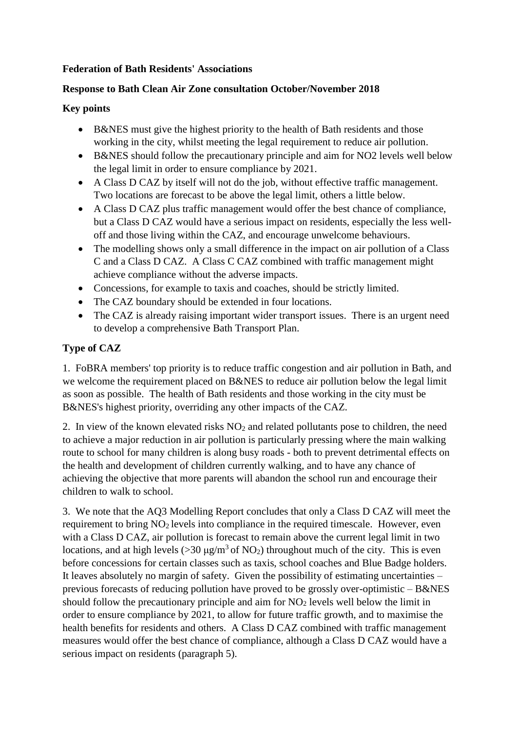## **Federation of Bath Residents' Associations**

## **Response to Bath Clean Air Zone consultation October/November 2018**

## **Key points**

- B&NES must give the highest priority to the health of Bath residents and those working in the city, whilst meeting the legal requirement to reduce air pollution.
- B&NES should follow the precautionary principle and aim for NO2 levels well below the legal limit in order to ensure compliance by 2021.
- A Class D CAZ by itself will not do the job, without effective traffic management. Two locations are forecast to be above the legal limit, others a little below.
- A Class D CAZ plus traffic management would offer the best chance of compliance, but a Class D CAZ would have a serious impact on residents, especially the less welloff and those living within the CAZ, and encourage unwelcome behaviours.
- The modelling shows only a small difference in the impact on air pollution of a Class C and a Class D CAZ. A Class C CAZ combined with traffic management might achieve compliance without the adverse impacts.
- Concessions, for example to taxis and coaches, should be strictly limited.
- The CAZ boundary should be extended in four locations.
- The CAZ is already raising important wider transport issues. There is an urgent need to develop a comprehensive Bath Transport Plan.

# **Type of CAZ**

1. FoBRA members' top priority is to reduce traffic congestion and air pollution in Bath, and we welcome the requirement placed on B&NES to reduce air pollution below the legal limit as soon as possible. The health of Bath residents and those working in the city must be B&NES's highest priority, overriding any other impacts of the CAZ.

2. In view of the known elevated risks  $NO<sub>2</sub>$  and related pollutants pose to children, the need to achieve a major reduction in air pollution is particularly pressing where the main walking route to school for many children is along busy roads - both to prevent detrimental effects on the health and development of children currently walking, and to have any chance of achieving the objective that more parents will abandon the school run and encourage their children to walk to school.

3. We note that the AQ3 Modelling Report concludes that only a Class D CAZ will meet the requirement to bring NO<sub>2</sub> levels into compliance in the required timescale. However, even with a Class D CAZ, air pollution is forecast to remain above the current legal limit in two locations, and at high levels ( $>30 \mu g/m^3$  of NO<sub>2</sub>) throughout much of the city. This is even before concessions for certain classes such as taxis, school coaches and Blue Badge holders. It leaves absolutely no margin of safety. Given the possibility of estimating uncertainties – previous forecasts of reducing pollution have proved to be grossly over-optimistic  $-$  B&NES should follow the precautionary principle and aim for  $NO<sub>2</sub>$  levels well below the limit in order to ensure compliance by 2021, to allow for future traffic growth, and to maximise the health benefits for residents and others. A Class D CAZ combined with traffic management measures would offer the best chance of compliance, although a Class D CAZ would have a serious impact on residents (paragraph 5).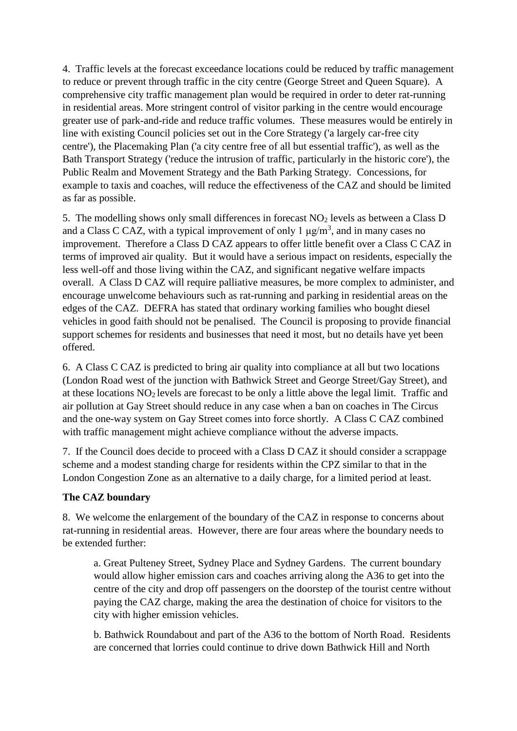4. Traffic levels at the forecast exceedance locations could be reduced by traffic management to reduce or prevent through traffic in the city centre (George Street and Queen Square). A comprehensive city traffic management plan would be required in order to deter rat-running in residential areas. More stringent control of visitor parking in the centre would encourage greater use of park-and-ride and reduce traffic volumes. These measures would be entirely in line with existing Council policies set out in the Core Strategy ('a largely car-free city centre'), the Placemaking Plan ('a city centre free of all but essential traffic'), as well as the Bath Transport Strategy ('reduce the intrusion of traffic, particularly in the historic core'), the Public Realm and Movement Strategy and the Bath Parking Strategy. Concessions, for example to taxis and coaches, will reduce the effectiveness of the CAZ and should be limited as far as possible.

5. The modelling shows only small differences in forecast  $NO<sub>2</sub>$  levels as between a Class D and a Class C CAZ, with a typical improvement of only 1  $\mu$ g/m<sup>3</sup>, and in many cases no improvement. Therefore a Class D CAZ appears to offer little benefit over a Class C CAZ in terms of improved air quality. But it would have a serious impact on residents, especially the less well-off and those living within the CAZ, and significant negative welfare impacts overall. A Class D CAZ will require palliative measures, be more complex to administer, and encourage unwelcome behaviours such as rat-running and parking in residential areas on the edges of the CAZ. DEFRA has stated that ordinary working families who bought diesel vehicles in good faith should not be penalised. The Council is proposing to provide financial support schemes for residents and businesses that need it most, but no details have yet been offered.

6. A Class C CAZ is predicted to bring air quality into compliance at all but two locations (London Road west of the junction with Bathwick Street and George Street/Gay Street), and at these locations NO2 levels are forecast to be only a little above the legal limit. Traffic and air pollution at Gay Street should reduce in any case when a ban on coaches in The Circus and the one-way system on Gay Street comes into force shortly. A Class C CAZ combined with traffic management might achieve compliance without the adverse impacts.

7. If the Council does decide to proceed with a Class D CAZ it should consider a scrappage scheme and a modest standing charge for residents within the CPZ similar to that in the London Congestion Zone as an alternative to a daily charge, for a limited period at least.

# **The CAZ boundary**

8. We welcome the enlargement of the boundary of the CAZ in response to concerns about rat-running in residential areas. However, there are four areas where the boundary needs to be extended further:

a. Great Pulteney Street, Sydney Place and Sydney Gardens. The current boundary would allow higher emission cars and coaches arriving along the A36 to get into the centre of the city and drop off passengers on the doorstep of the tourist centre without paying the CAZ charge, making the area the destination of choice for visitors to the city with higher emission vehicles.

b. Bathwick Roundabout and part of the A36 to the bottom of North Road. Residents are concerned that lorries could continue to drive down Bathwick Hill and North